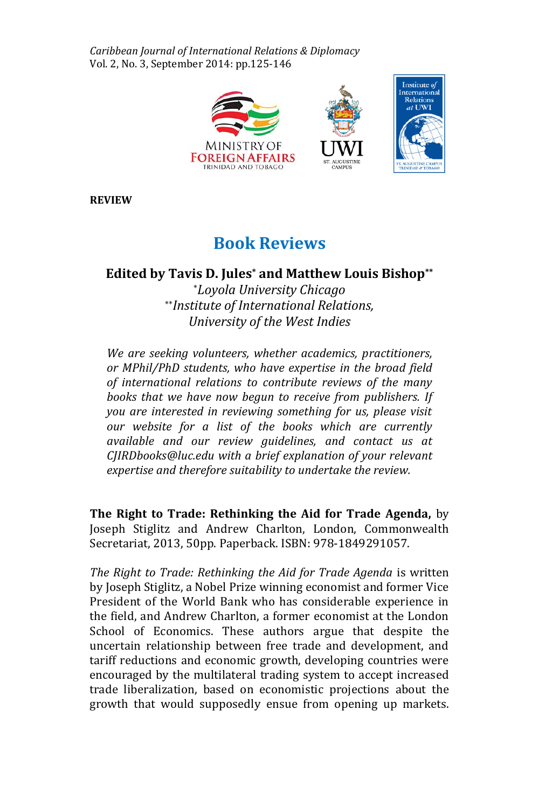*Caribbean Journal of International Relations & Diplomacy* Vol. 2, No. 3, September 2014: pp.125-146



**REVIEW**

# **Book Reviews**

**Edited by Tavis D. Jules\* and Matthew Louis Bishop\*\***

\**Loyola University Chicago* \*\**Institute of International Relations, University of the West Indies* 

*We are seeking volunteers, whether academics, practitioners, or MPhil/PhD students, who have expertise in the broad field of international relations to contribute reviews of the many books that we have now begun to receive from publishers. If you are interested in reviewing something for us, please visit our website for a list of the books which are currently available and our review guidelines, and contact us at CJIRDbooks@luc.edu with a brief explanation of your relevant expertise and therefore suitability to undertake the review.* 

**The Right to Trade: Rethinking the Aid for Trade Agenda,** by Joseph Stiglitz and Andrew Charlton, London, Commonwealth Secretariat, 2013, 50pp. Paperback. ISBN: 978-1849291057.

*The Right to Trade: Rethinking the Aid for Trade Agenda* is written by Joseph Stiglitz, a Nobel Prize winning economist and former Vice President of the World Bank who has considerable experience in the field, and Andrew Charlton, a former economist at the London School of Economics. These authors argue that despite the uncertain relationship between free trade and development, and tariff reductions and economic growth, developing countries were encouraged by the multilateral trading system to accept increased trade liberalization, based on economistic projections about the growth that would supposedly ensue from opening up markets.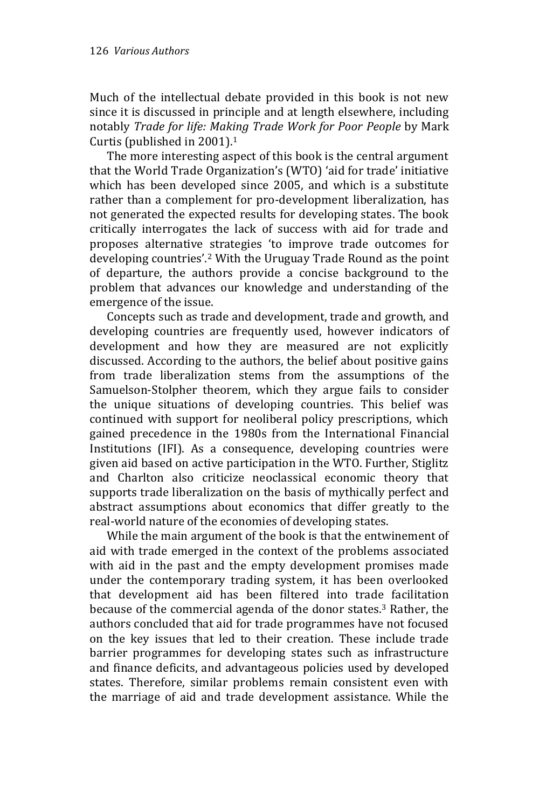Much of the intellectual debate provided in this book is not new since it is discussed in principle and at length elsewhere, including notably *Trade for life: Making Trade Work for Poor People* by Mark Curtis (published in 2001).<sup>1</sup>

The more interesting aspect of this book is the central argument that the World Trade Organization's (WTO) 'aid for trade' initiative which has been developed since 2005, and which is a substitute rather than a complement for pro-development liberalization, has not generated the expected results for developing states. The book critically interrogates the lack of success with aid for trade and proposes alternative strategies 'to improve trade outcomes for developing countries'.<sup>2</sup> With the Uruguay Trade Round as the point of departure, the authors provide a concise background to the problem that advances our knowledge and understanding of the emergence of the issue.

Concepts such as trade and development, trade and growth, and developing countries are frequently used, however indicators of development and how they are measured are not explicitly discussed. According to the authors, the belief about positive gains from trade liberalization stems from the assumptions of the Samuelson-Stolpher theorem, which they argue fails to consider the unique situations of developing countries. This belief was continued with support for neoliberal policy prescriptions, which gained precedence in the 1980s from the International Financial Institutions (IFI). As a consequence, developing countries were given aid based on active participation in the WTO. Further, Stiglitz and Charlton also criticize neoclassical economic theory that supports trade liberalization on the basis of mythically perfect and abstract assumptions about economics that differ greatly to the real-world nature of the economies of developing states.

While the main argument of the book is that the entwinement of aid with trade emerged in the context of the problems associated with aid in the past and the empty development promises made under the contemporary trading system, it has been overlooked that development aid has been filtered into trade facilitation because of the commercial agenda of the donor states.<sup>3</sup> Rather, the authors concluded that aid for trade programmes have not focused on the key issues that led to their creation. These include trade barrier programmes for developing states such as infrastructure and finance deficits, and advantageous policies used by developed states. Therefore, similar problems remain consistent even with the marriage of aid and trade development assistance. While the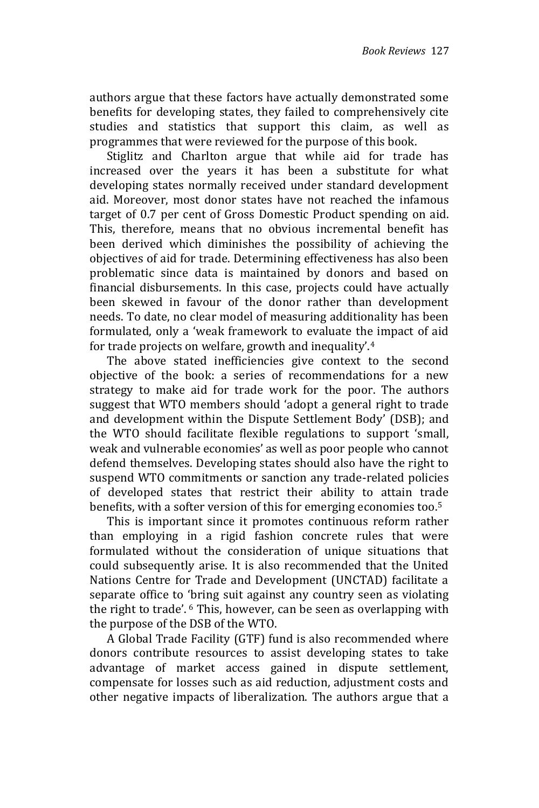authors argue that these factors have actually demonstrated some benefits for developing states, they failed to comprehensively cite studies and statistics that support this claim, as well as programmes that were reviewed for the purpose of this book.

Stiglitz and Charlton argue that while aid for trade has increased over the years it has been a substitute for what developing states normally received under standard development aid. Moreover, most donor states have not reached the infamous target of 0.7 per cent of Gross Domestic Product spending on aid. This, therefore, means that no obvious incremental benefit has been derived which diminishes the possibility of achieving the objectives of aid for trade. Determining effectiveness has also been problematic since data is maintained by donors and based on financial disbursements. In this case, projects could have actually been skewed in favour of the donor rather than development needs. To date, no clear model of measuring additionality has been formulated, only a 'weak framework to evaluate the impact of aid for trade projects on welfare, growth and inequality'.<sup>4</sup>

The above stated inefficiencies give context to the second objective of the book: a series of recommendations for a new strategy to make aid for trade work for the poor. The authors suggest that WTO members should 'adopt a general right to trade and development within the Dispute Settlement Body' (DSB); and the WTO should facilitate flexible regulations to support 'small, weak and vulnerable economies' as well as poor people who cannot defend themselves. Developing states should also have the right to suspend WTO commitments or sanction any trade-related policies of developed states that restrict their ability to attain trade benefits, with a softer version of this for emerging economies too. 5

This is important since it promotes continuous reform rather than employing in a rigid fashion concrete rules that were formulated without the consideration of unique situations that could subsequently arise. It is also recommended that the United Nations Centre for Trade and Development (UNCTAD) facilitate a separate office to 'bring suit against any country seen as violating the right to trade'. <sup>6</sup> This, however, can be seen as overlapping with the purpose of the DSB of the WTO.

A Global Trade Facility (GTF) fund is also recommended where donors contribute resources to assist developing states to take advantage of market access gained in dispute settlement, compensate for losses such as aid reduction, adjustment costs and other negative impacts of liberalization. The authors argue that a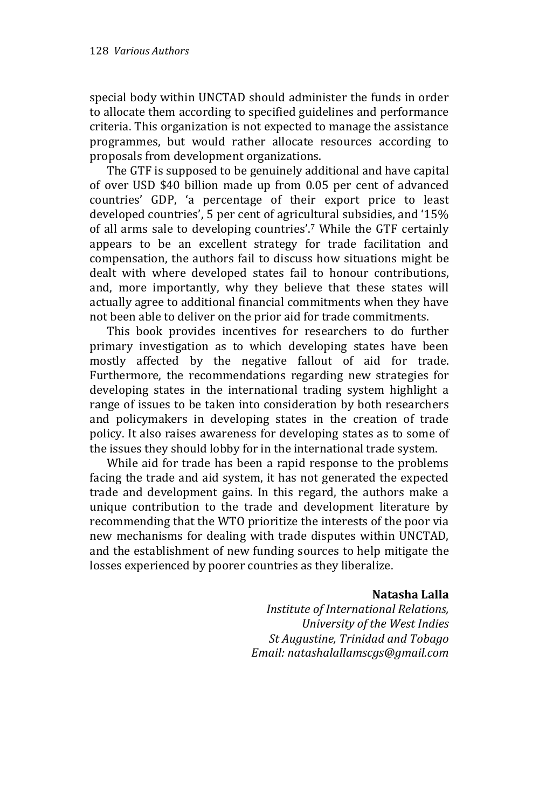special body within UNCTAD should administer the funds in order to allocate them according to specified guidelines and performance criteria. This organization is not expected to manage the assistance programmes, but would rather allocate resources according to proposals from development organizations.

The GTF is supposed to be genuinely additional and have capital of over USD \$40 billion made up from 0.05 per cent of advanced countries' GDP, 'a percentage of their export price to least developed countries', 5 per cent of agricultural subsidies, and '15% of all arms sale to developing countries'.<sup>7</sup> While the GTF certainly appears to be an excellent strategy for trade facilitation and compensation, the authors fail to discuss how situations might be dealt with where developed states fail to honour contributions, and, more importantly, why they believe that these states will actually agree to additional financial commitments when they have not been able to deliver on the prior aid for trade commitments.

This book provides incentives for researchers to do further primary investigation as to which developing states have been mostly affected by the negative fallout of aid for trade. Furthermore, the recommendations regarding new strategies for developing states in the international trading system highlight a range of issues to be taken into consideration by both researchers and policymakers in developing states in the creation of trade policy. It also raises awareness for developing states as to some of the issues they should lobby for in the international trade system.

While aid for trade has been a rapid response to the problems facing the trade and aid system, it has not generated the expected trade and development gains. In this regard, the authors make a unique contribution to the trade and development literature by recommending that the WTO prioritize the interests of the poor via new mechanisms for dealing with trade disputes within UNCTAD, and the establishment of new funding sources to help mitigate the losses experienced by poorer countries as they liberalize.

#### **Natasha Lalla**

*Institute of International Relations, University of the West Indies St Augustine, Trinidad and Tobago Email: natashalallamscgs@gmail.com*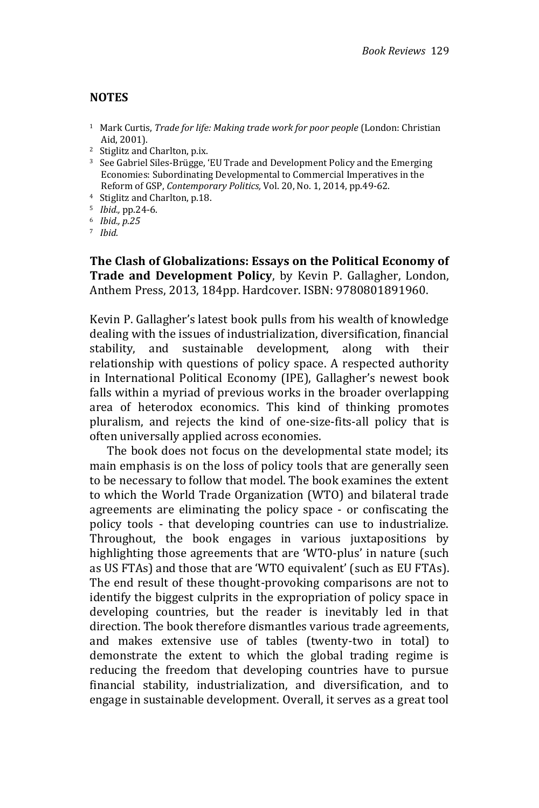#### **NOTES**

- <sup>1</sup> Mark Curtis, *Trade for life: Making trade work for poor people* (London: Christian Aid, 2001).
- <sup>2</sup> Stiglitz and Charlton, p.ix.
- <sup>3</sup> See Gabriel Siles-Brügge, 'EU Trade and Development Policy and the Emerging Economies: Subordinating Developmental to Commercial Imperatives in the Reform of GSP, *Contemporary Politics,* Vol. 20, No. 1, 2014, pp.49-62.
- <sup>4</sup> Stiglitz and Charlton, p.18.
- <sup>5</sup> *Ibid.,* pp.24-6.
- <sup>6</sup> *Ibid., p.25*
- <sup>7</sup> *Ibid.*

**The Clash of Globalizations: Essays on the Political Economy of Trade and Development Policy**, by Kevin P. Gallagher, London, Anthem Press, 2013, 184pp. Hardcover. ISBN: 9780801891960.

Kevin P. Gallagher's latest book pulls from his wealth of knowledge dealing with the issues of industrialization, diversification, financial stability, and sustainable development, along with their relationship with questions of policy space. A respected authority in International Political Economy (IPE), Gallagher's newest book falls within a myriad of previous works in the broader overlapping area of heterodox economics. This kind of thinking promotes pluralism, and rejects the kind of one-size-fits-all policy that is often universally applied across economies.

The book does not focus on the developmental state model; its main emphasis is on the loss of policy tools that are generally seen to be necessary to follow that model. The book examines the extent to which the World Trade Organization (WTO) and bilateral trade agreements are eliminating the policy space - or confiscating the policy tools - that developing countries can use to industrialize. Throughout, the book engages in various juxtapositions by highlighting those agreements that are 'WTO-plus' in nature (such as US FTAs) and those that are 'WTO equivalent' (such as EU FTAs). The end result of these thought-provoking comparisons are not to identify the biggest culprits in the expropriation of policy space in developing countries, but the reader is inevitably led in that direction. The book therefore dismantles various trade agreements, and makes extensive use of tables (twenty-two in total) to demonstrate the extent to which the global trading regime is reducing the freedom that developing countries have to pursue financial stability, industrialization, and diversification, and to engage in sustainable development. Overall, it serves as a great tool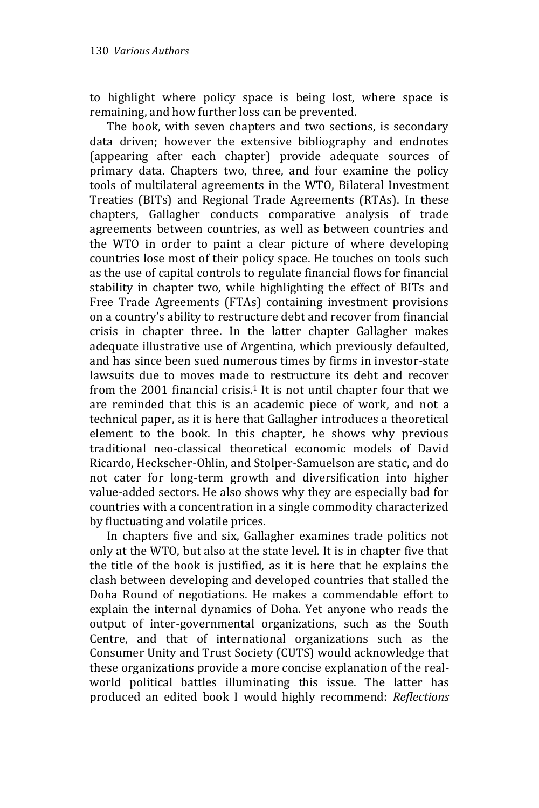to highlight where policy space is being lost, where space is remaining, and how further loss can be prevented.

The book, with seven chapters and two sections, is secondary data driven; however the extensive bibliography and endnotes (appearing after each chapter) provide adequate sources of primary data. Chapters two, three, and four examine the policy tools of multilateral agreements in the WTO, Bilateral Investment Treaties (BITs) and Regional Trade Agreements (RTAs). In these chapters, Gallagher conducts comparative analysis of trade agreements between countries, as well as between countries and the WTO in order to paint a clear picture of where developing countries lose most of their policy space. He touches on tools such as the use of capital controls to regulate financial flows for financial stability in chapter two, while highlighting the effect of BITs and Free Trade Agreements (FTAs) containing investment provisions on a country's ability to restructure debt and recover from financial crisis in chapter three. In the latter chapter Gallagher makes adequate illustrative use of Argentina, which previously defaulted, and has since been sued numerous times by firms in investor-state lawsuits due to moves made to restructure its debt and recover from the 2001 financial crisis.<sup>1</sup> It is not until chapter four that we are reminded that this is an academic piece of work, and not a technical paper, as it is here that Gallagher introduces a theoretical element to the book. In this chapter, he shows why previous traditional neo-classical theoretical economic models of David Ricardo, Heckscher-Ohlin, and Stolper-Samuelson are static, and do not cater for long-term growth and diversification into higher value-added sectors. He also shows why they are especially bad for countries with a concentration in a single commodity characterized by fluctuating and volatile prices.

In chapters five and six, Gallagher examines trade politics not only at the WTO, but also at the state level. It is in chapter five that the title of the book is justified, as it is here that he explains the clash between developing and developed countries that stalled the Doha Round of negotiations. He makes a commendable effort to explain the internal dynamics of Doha. Yet anyone who reads the output of inter-governmental organizations, such as the South Centre, and that of international organizations such as the Consumer Unity and Trust Society (CUTS) would acknowledge that these organizations provide a more concise explanation of the realworld political battles illuminating this issue. The latter has produced an edited book I would highly recommend: *Reflections*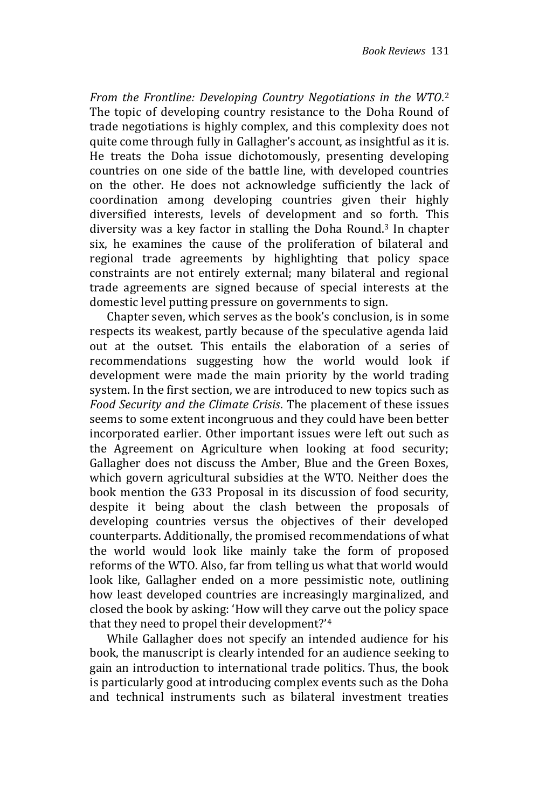*From the Frontline: Developing Country Negotiations in the WTO.* 2 The topic of developing country resistance to the Doha Round of trade negotiations is highly complex, and this complexity does not quite come through fully in Gallagher's account, as insightful as it is. He treats the Doha issue dichotomously, presenting developing countries on one side of the battle line, with developed countries on the other. He does not acknowledge sufficiently the lack of coordination among developing countries given their highly diversified interests, levels of development and so forth. This diversity was a key factor in stalling the Doha Round. <sup>3</sup> In chapter six, he examines the cause of the proliferation of bilateral and regional trade agreements by highlighting that policy space constraints are not entirely external; many bilateral and regional trade agreements are signed because of special interests at the domestic level putting pressure on governments to sign.

Chapter seven, which serves as the book's conclusion, is in some respects its weakest, partly because of the speculative agenda laid out at the outset. This entails the elaboration of a series of recommendations suggesting how the world would look if development were made the main priority by the world trading system. In the first section, we are introduced to new topics such as *Food Security and the Climate Crisis*. The placement of these issues seems to some extent incongruous and they could have been better incorporated earlier. Other important issues were left out such as the Agreement on Agriculture when looking at food security; Gallagher does not discuss the Amber, Blue and the Green Boxes, which govern agricultural subsidies at the WTO. Neither does the book mention the G33 Proposal in its discussion of food security, despite it being about the clash between the proposals of developing countries versus the objectives of their developed counterparts. Additionally, the promised recommendations of what the world would look like mainly take the form of proposed reforms of the WTO. Also, far from telling us what that world would look like, Gallagher ended on a more pessimistic note, outlining how least developed countries are increasingly marginalized, and closed the book by asking: 'How will they carve out the policy space that they need to propel their development?' 4

While Gallagher does not specify an intended audience for his book, the manuscript is clearly intended for an audience seeking to gain an introduction to international trade politics. Thus, the book is particularly good at introducing complex events such as the Doha and technical instruments such as bilateral investment treaties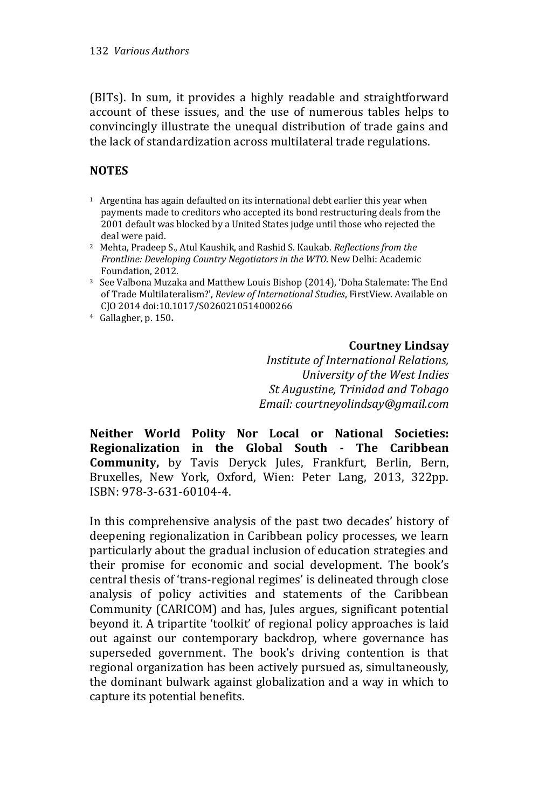(BITs). In sum, it provides a highly readable and straightforward account of these issues, and the use of numerous tables helps to convincingly illustrate the unequal distribution of trade gains and the lack of standardization across multilateral trade regulations.

## **NOTES**

- $1$  Argentina has again defaulted on its international debt earlier this year when payments made to creditors who accepted its bond restructuring deals from the 2001 default was blocked by a United States judge until those who rejected the deal were paid.
- <sup>2</sup> Mehta, Pradeep S., Atul Kaushik, and Rashid S. Kaukab. *Reflections from the Frontline: Developing Country Negotiators in the WTO*. New Delhi: Academic Foundation, 2012.
- <sup>3</sup> See Valbona Muzaka and Matthew Louis Bishop (2014), 'Doha Stalemate: The End of Trade Multilateralism?', *Review of International Studies*, FirstView. Available on CJO 2014 doi:10.1017/S0260210514000266
- <sup>4</sup> Gallagher, p. 150**.**

## **Courtney Lindsay**

*Institute of International Relations, University of the West Indies St Augustine, Trinidad and Tobago Email: courtneyolindsay@gmail.com*

**Neither World Polity Nor Local or National Societies: Regionalization in the Global South - The Caribbean Community,** by Tavis Deryck Jules, Frankfurt, Berlin, Bern, Bruxelles, New York, Oxford, Wien: Peter Lang, 2013, 322pp. ISBN: 978-3-631-60104-4.

In this comprehensive analysis of the past two decades' history of deepening regionalization in Caribbean policy processes, we learn particularly about the gradual inclusion of education strategies and their promise for economic and social development. The book's central thesis of 'trans-regional regimes' is delineated through close analysis of policy activities and statements of the Caribbean Community (CARICOM) and has, Jules argues, significant potential beyond it. A tripartite 'toolkit' of regional policy approaches is laid out against our contemporary backdrop, where governance has superseded government. The book's driving contention is that regional organization has been actively pursued as, simultaneously, the dominant bulwark against globalization and a way in which to capture its potential benefits.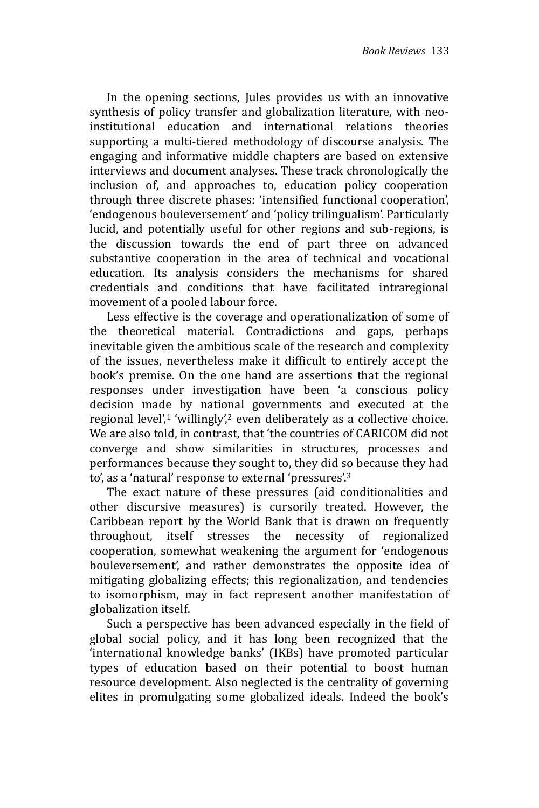In the opening sections, Jules provides us with an innovative synthesis of policy transfer and globalization literature, with neoinstitutional education and international relations theories supporting a multi-tiered methodology of discourse analysis. The engaging and informative middle chapters are based on extensive interviews and document analyses. These track chronologically the inclusion of, and approaches to, education policy cooperation through three discrete phases: 'intensified functional cooperation', 'endogenous bouleversement' and 'policy trilingualism'. Particularly lucid, and potentially useful for other regions and sub-regions, is the discussion towards the end of part three on advanced substantive cooperation in the area of technical and vocational education. Its analysis considers the mechanisms for shared credentials and conditions that have facilitated intraregional movement of a pooled labour force.

Less effective is the coverage and operationalization of some of the theoretical material. Contradictions and gaps, perhaps inevitable given the ambitious scale of the research and complexity of the issues, nevertheless make it difficult to entirely accept the book's premise. On the one hand are assertions that the regional responses under investigation have been 'a conscious policy decision made by national governments and executed at the regional level', $1$  'willingly', $2$  even deliberately as a collective choice. We are also told, in contrast, that 'the countries of CARICOM did not converge and show similarities in structures, processes and performances because they sought to, they did so because they had to', as a 'natural' response to external 'pressures'.<sup>3</sup>

The exact nature of these pressures (aid conditionalities and other discursive measures) is cursorily treated. However, the Caribbean report by the World Bank that is drawn on frequently throughout, itself stresses the necessity of regionalized cooperation, somewhat weakening the argument for 'endogenous bouleversement', and rather demonstrates the opposite idea of mitigating globalizing effects; this regionalization, and tendencies to isomorphism, may in fact represent another manifestation of globalization itself.

Such a perspective has been advanced especially in the field of global social policy, and it has long been recognized that the 'international knowledge banks' (IKBs) have promoted particular types of education based on their potential to boost human resource development. Also neglected is the centrality of governing elites in promulgating some globalized ideals. Indeed the book's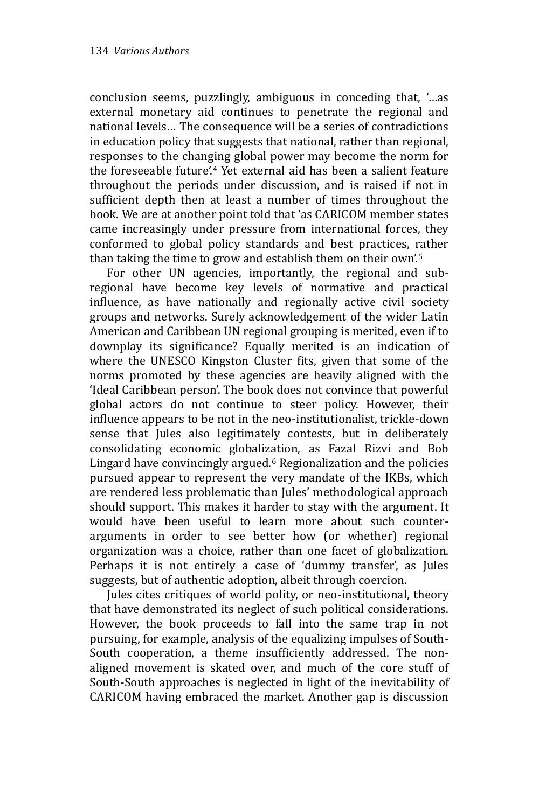conclusion seems, puzzlingly, ambiguous in conceding that, '…as external monetary aid continues to penetrate the regional and national levels… The consequence will be a series of contradictions in education policy that suggests that national, rather than regional, responses to the changing global power may become the norm for the foreseeable future'.<sup>4</sup> Yet external aid has been a salient feature throughout the periods under discussion, and is raised if not in sufficient depth then at least a number of times throughout the book. We are at another point told that 'as CARICOM member states came increasingly under pressure from international forces, they conformed to global policy standards and best practices, rather than taking the time to grow and establish them on their own'.<sup>5</sup>

For other UN agencies, importantly, the regional and subregional have become key levels of normative and practical influence, as have nationally and regionally active civil society groups and networks. Surely acknowledgement of the wider Latin American and Caribbean UN regional grouping is merited, even if to downplay its significance? Equally merited is an indication of where the UNESCO Kingston Cluster fits, given that some of the norms promoted by these agencies are heavily aligned with the 'Ideal Caribbean person'. The book does not convince that powerful global actors do not continue to steer policy. However, their influence appears to be not in the neo-institutionalist, trickle-down sense that Jules also legitimately contests, but in deliberately consolidating economic globalization, as Fazal Rizvi and Bob Lingard have convincingly argued.<sup>6</sup> Regionalization and the policies pursued appear to represent the very mandate of the IKBs, which are rendered less problematic than Jules' methodological approach should support. This makes it harder to stay with the argument. It would have been useful to learn more about such counterarguments in order to see better how (or whether) regional organization was a choice, rather than one facet of globalization. Perhaps it is not entirely a case of 'dummy transfer', as Jules suggests, but of authentic adoption, albeit through coercion.

Jules cites critiques of world polity, or neo-institutional, theory that have demonstrated its neglect of such political considerations. However, the book proceeds to fall into the same trap in not pursuing, for example, analysis of the equalizing impulses of South-South cooperation, a theme insufficiently addressed. The nonaligned movement is skated over, and much of the core stuff of South-South approaches is neglected in light of the inevitability of CARICOM having embraced the market. Another gap is discussion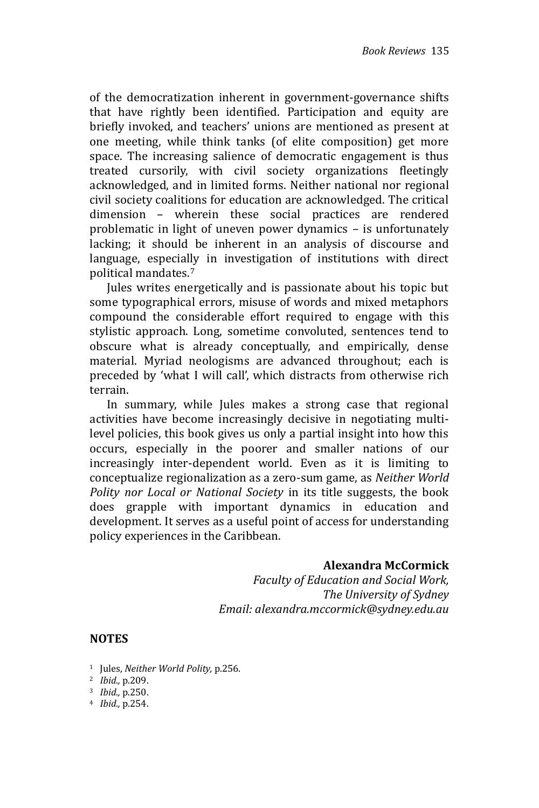of the democratization inherent in government-governance shifts that have rightly been identified. Participation and equity are briefly invoked, and teachers' unions are mentioned as present at one meeting, while think tanks (of elite composition) get more space. The increasing salience of democratic engagement is thus treated cursorily, with civil society organizations fleetingly acknowledged, and in limited forms. Neither national nor regional civil society coalitions for education are acknowledged. The critical dimension – wherein these social practices are rendered problematic in light of uneven power dynamics – is unfortunately lacking; it should be inherent in an analysis of discourse and language, especially in investigation of institutions with direct political mandates.<sup>7</sup>

Jules writes energetically and is passionate about his topic but some typographical errors, misuse of words and mixed metaphors compound the considerable effort required to engage with this stylistic approach. Long, sometime convoluted, sentences tend to obscure what is already conceptually, and empirically, dense material. Myriad neologisms are advanced throughout; each is preceded by 'what I will call', which distracts from otherwise rich terrain.

In summary, while Jules makes a strong case that regional activities have become increasingly decisive in negotiating multilevel policies, this book gives us only a partial insight into how this occurs, especially in the poorer and smaller nations of our increasingly inter-dependent world. Even as it is limiting to conceptualize regionalization as a zero-sum game, as *Neither World Polity nor Local or National Society* in its title suggests, the book does grapple with important dynamics in education and development. It serves as a useful point of access for understanding policy experiences in the Caribbean.

## **Alexandra McCormick**

*Faculty of Education and Social Work, The University of Sydney Email: alexandra.mccormick@sydney.edu.au*

## **NOTES**

<sup>1</sup> Jules, *Neither World Polity,* p.256.

- <sup>3</sup> *Ibid.,* p.250.
- 4 *Ibid.,* p.254.

<sup>2</sup> *Ibid.,* p.209.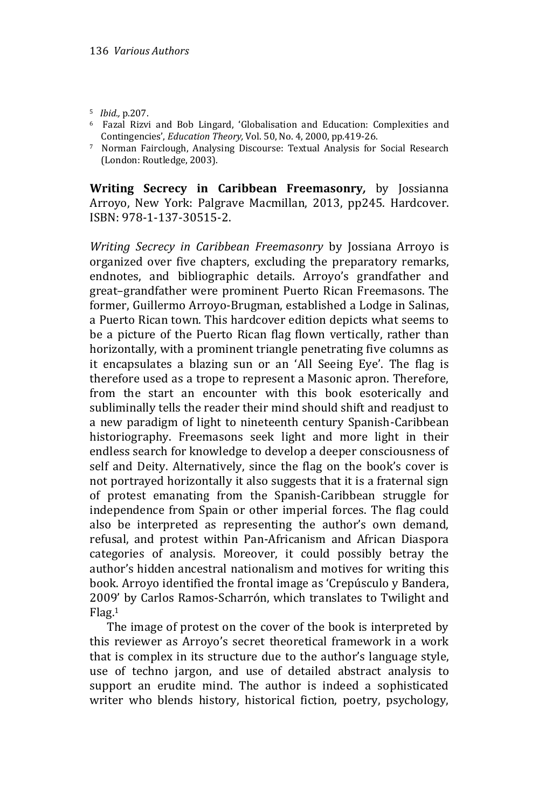- <sup>5</sup> *Ibid.,* p.207.
- <sup>6</sup> Fazal Rizvi and Bob Lingard, 'Globalisation and Education: Complexities and Contingencies', *Education Theory,* Vol. 50, No. 4, 2000, pp.419-26.
- <sup>7</sup> Norman Fairclough, Analysing Discourse: Textual Analysis for Social Research (London: Routledge, 2003).

**Writing Secrecy in Caribbean Freemasonry***,* by Jossianna Arroyo, New York: Palgrave Macmillan, 2013, pp245. Hardcover. ISBN: 978-1-137-30515-2.

*Writing Secrecy in Caribbean Freemasonry* by Jossiana Arroyo is organized over five chapters, excluding the preparatory remarks, endnotes, and bibliographic details. Arroyo's grandfather and great–grandfather were prominent Puerto Rican Freemasons. The former, Guillermo Arroyo-Brugman, established a Lodge in Salinas, a Puerto Rican town. This hardcover edition depicts what seems to be a picture of the Puerto Rican flag flown vertically, rather than horizontally, with a prominent triangle penetrating five columns as it encapsulates a blazing sun or an 'All Seeing Eye'. The flag is therefore used as a trope to represent a Masonic apron. Therefore, from the start an encounter with this book esoterically and subliminally tells the reader their mind should shift and readjust to a new paradigm of light to nineteenth century Spanish-Caribbean historiography. Freemasons seek light and more light in their endless search for knowledge to develop a deeper consciousness of self and Deity. Alternatively, since the flag on the book's cover is not portrayed horizontally it also suggests that it is a fraternal sign of protest emanating from the Spanish-Caribbean struggle for independence from Spain or other imperial forces. The flag could also be interpreted as representing the author's own demand, refusal, and protest within Pan-Africanism and African Diaspora categories of analysis. Moreover, it could possibly betray the author's hidden ancestral nationalism and motives for writing this book. Arroyo identified the frontal image as 'Crepúsculo y Bandera, 2009' by Carlos Ramos-Scharrón, which translates to Twilight and Flag.<sup>1</sup>

The image of protest on the cover of the book is interpreted by this reviewer as Arroyo's secret theoretical framework in a work that is complex in its structure due to the author's language style, use of techno jargon, and use of detailed abstract analysis to support an erudite mind. The author is indeed a sophisticated writer who blends history, historical fiction, poetry, psychology,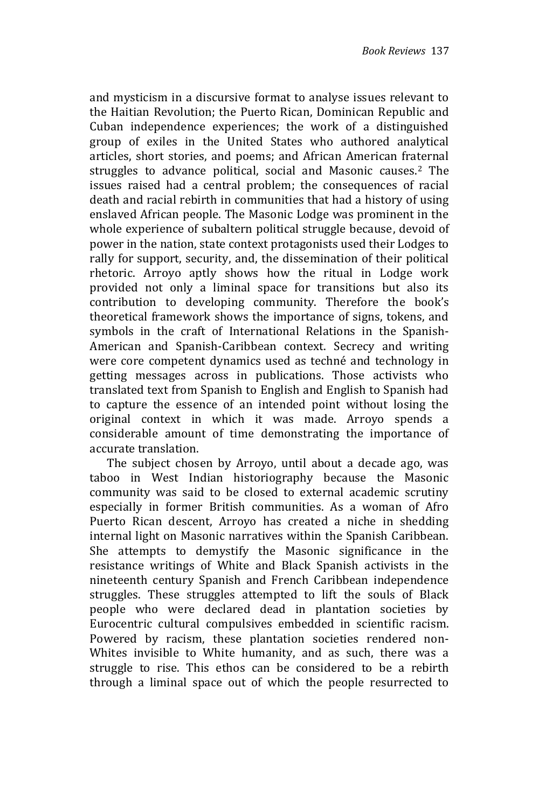and mysticism in a discursive format to analyse issues relevant to the Haitian Revolution; the Puerto Rican, Dominican Republic and Cuban independence experiences; the work of a distinguished group of exiles in the United States who authored analytical articles, short stories, and poems; and African American fraternal struggles to advance political, social and Masonic causes.<sup>2</sup> The issues raised had a central problem; the consequences of racial death and racial rebirth in communities that had a history of using enslaved African people. The Masonic Lodge was prominent in the whole experience of subaltern political struggle because, devoid of power in the nation, state context protagonists used their Lodges to rally for support, security, and, the dissemination of their political rhetoric. Arroyo aptly shows how the ritual in Lodge work provided not only a liminal space for transitions but also its contribution to developing community. Therefore the book's theoretical framework shows the importance of signs, tokens, and symbols in the craft of International Relations in the Spanish-American and Spanish-Caribbean context. Secrecy and writing were core competent dynamics used as techné and technology in getting messages across in publications. Those activists who translated text from Spanish to English and English to Spanish had to capture the essence of an intended point without losing the original context in which it was made. Arroyo spends a considerable amount of time demonstrating the importance of accurate translation.

The subject chosen by Arroyo, until about a decade ago, was taboo in West Indian historiography because the Masonic community was said to be closed to external academic scrutiny especially in former British communities. As a woman of Afro Puerto Rican descent, Arroyo has created a niche in shedding internal light on Masonic narratives within the Spanish Caribbean. She attempts to demystify the Masonic significance in the resistance writings of White and Black Spanish activists in the nineteenth century Spanish and French Caribbean independence struggles. These struggles attempted to lift the souls of Black people who were declared dead in plantation societies by Eurocentric cultural compulsives embedded in scientific racism. Powered by racism, these plantation societies rendered non-Whites invisible to White humanity, and as such, there was a struggle to rise. This ethos can be considered to be a rebirth through a liminal space out of which the people resurrected to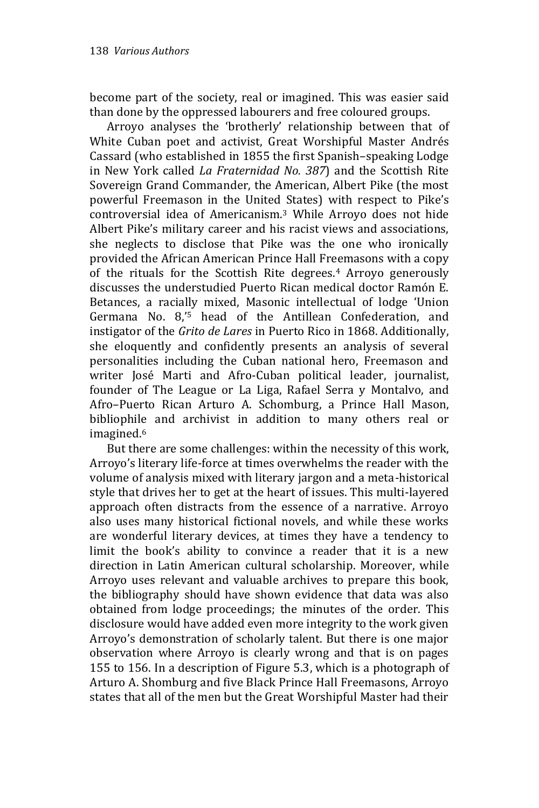become part of the society, real or imagined. This was easier said than done by the oppressed labourers and free coloured groups.

Arroyo analyses the 'brotherly' relationship between that of White Cuban poet and activist, Great Worshipful Master Andrés Cassard (who established in 1855 the first Spanish–speaking Lodge in New York called *La Fraternidad No. 387*) and the Scottish Rite Sovereign Grand Commander, the American, Albert Pike (the most powerful Freemason in the United States) with respect to Pike's controversial idea of Americanism.<sup>3</sup> While Arroyo does not hide Albert Pike's military career and his racist views and associations, she neglects to disclose that Pike was the one who ironically provided the African American Prince Hall Freemasons with a copy of the rituals for the Scottish Rite degrees.<sup>4</sup> Arroyo generously discusses the understudied Puerto Rican medical doctor Ramón E. Betances, a racially mixed, Masonic intellectual of lodge 'Union Germana No. 8,' <sup>5</sup> head of the Antillean Confederation, and instigator of the *Grito de Lares* in Puerto Rico in 1868. Additionally, she eloquently and confidently presents an analysis of several personalities including the Cuban national hero, Freemason and writer José Marti and Afro-Cuban political leader, journalist, founder of The League or La Liga, Rafael Serra y Montalvo, and Afro–Puerto Rican Arturo A. Schomburg, a Prince Hall Mason, bibliophile and archivist in addition to many others real or imagined. 6

But there are some challenges: within the necessity of this work, Arroyo's literary life-force at times overwhelms the reader with the volume of analysis mixed with literary jargon and a meta-historical style that drives her to get at the heart of issues. This multi-layered approach often distracts from the essence of a narrative. Arroyo also uses many historical fictional novels, and while these works are wonderful literary devices, at times they have a tendency to limit the book's ability to convince a reader that it is a new direction in Latin American cultural scholarship. Moreover, while Arroyo uses relevant and valuable archives to prepare this book, the bibliography should have shown evidence that data was also obtained from lodge proceedings; the minutes of the order. This disclosure would have added even more integrity to the work given Arroyo's demonstration of scholarly talent. But there is one major observation where Arroyo is clearly wrong and that is on pages 155 to 156. In a description of Figure 5.3, which is a photograph of Arturo A. Shomburg and five Black Prince Hall Freemasons, Arroyo states that all of the men but the Great Worshipful Master had their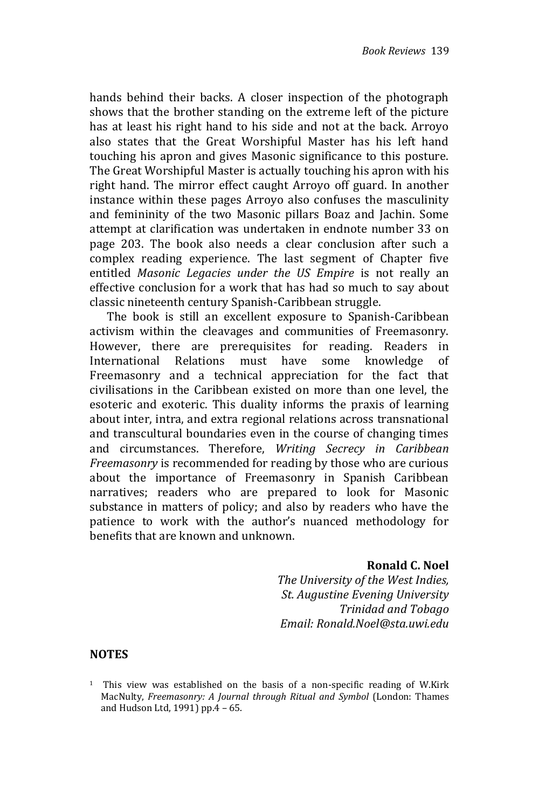hands behind their backs. A closer inspection of the photograph shows that the brother standing on the extreme left of the picture has at least his right hand to his side and not at the back. Arroyo also states that the Great Worshipful Master has his left hand touching his apron and gives Masonic significance to this posture. The Great Worshipful Master is actually touching his apron with his right hand. The mirror effect caught Arroyo off guard. In another instance within these pages Arroyo also confuses the masculinity and femininity of the two Masonic pillars Boaz and Jachin. Some attempt at clarification was undertaken in endnote number 33 on page 203. The book also needs a clear conclusion after such a complex reading experience. The last segment of Chapter five entitled *Masonic Legacies under the US Empire* is not really an effective conclusion for a work that has had so much to say about classic nineteenth century Spanish-Caribbean struggle.

The book is still an excellent exposure to Spanish-Caribbean activism within the cleavages and communities of Freemasonry. However, there are prerequisites for reading. Readers in International Relations must have some knowledge of Freemasonry and a technical appreciation for the fact that civilisations in the Caribbean existed on more than one level, the esoteric and exoteric. This duality informs the praxis of learning about inter, intra, and extra regional relations across transnational and transcultural boundaries even in the course of changing times and circumstances. Therefore, *Writing Secrecy in Caribbean Freemasonry* is recommended for reading by those who are curious about the importance of Freemasonry in Spanish Caribbean narratives; readers who are prepared to look for Masonic substance in matters of policy; and also by readers who have the patience to work with the author's nuanced methodology for benefits that are known and unknown.

## **Ronald C. Noel**

*The University of the West Indies, St. Augustine Evening University Trinidad and Tobago Email: Ronald.Noel@sta.uwi.edu*

#### **NOTES**

<sup>&</sup>lt;sup>1</sup> This view was established on the basis of a non-specific reading of W.Kirk MacNulty, *Freemasonry: A Journal through Ritual and Symbol* (London: Thames and Hudson Ltd, 1991) pp.4 – 65.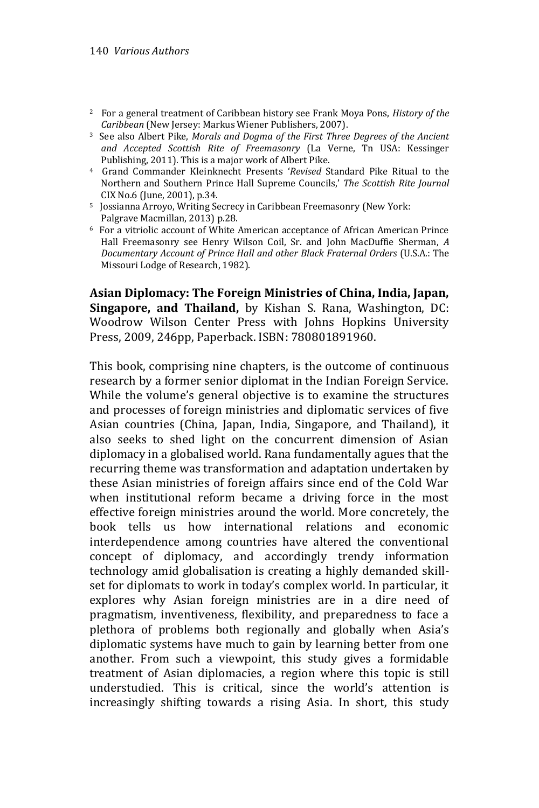- <sup>2</sup> For a general treatment of Caribbean history see Frank Moya Pons, *History of the Caribbean* (New Jersey: Markus Wiener Publishers, 2007).
- <sup>3</sup> See also Albert Pike, *Morals and Dogma of the First Three Degrees of the Ancient and Accepted Scottish Rite of Freemasonry* (La Verne, Tn USA: Kessinger Publishing, 2011). This is a major work of Albert Pike.
- <sup>4</sup> Grand Commander Kleinknecht Presents '*Revised* Standard Pike Ritual to the Northern and Southern Prince Hall Supreme Councils,' *The Scottish Rite Journal* CIX No.6 (June, 2001), p.34.
- <sup>5</sup> Jossianna Arroyo, Writing Secrecy in Caribbean Freemasonry (New York: Palgrave Macmillan, 2013) p.28.
- <sup>6</sup> For a vitriolic account of White American acceptance of African American Prince Hall Freemasonry see Henry Wilson Coil, Sr. and John MacDuffie Sherman, *A Documentary Account of Prince Hall and other Black Fraternal Orders* (U.S.A.: The Missouri Lodge of Research, 1982).

**Asian Diplomacy: The Foreign Ministries of China, India, Japan, Singapore, and Thailand,** by Kishan S. Rana, Washington, DC: Woodrow Wilson Center Press with Johns Hopkins University Press, 2009, 246pp, Paperback. ISBN: 780801891960.

This book, comprising nine chapters, is the outcome of continuous research by a former senior diplomat in the Indian Foreign Service. While the volume's general objective is to examine the structures and processes of foreign ministries and diplomatic services of five Asian countries (China, Japan, India, Singapore, and Thailand), it also seeks to shed light on the concurrent dimension of Asian diplomacy in a globalised world. Rana fundamentally agues that the recurring theme was transformation and adaptation undertaken by these Asian ministries of foreign affairs since end of the Cold War when institutional reform became a driving force in the most effective foreign ministries around the world. More concretely, the book tells us how international relations and economic interdependence among countries have altered the conventional concept of diplomacy, and accordingly trendy information technology amid globalisation is creating a highly demanded skillset for diplomats to work in today's complex world. In particular, it explores why Asian foreign ministries are in a dire need of pragmatism, inventiveness, flexibility, and preparedness to face a plethora of problems both regionally and globally when Asia's diplomatic systems have much to gain by learning better from one another. From such a viewpoint, this study gives a formidable treatment of Asian diplomacies, a region where this topic is still understudied. This is critical, since the world's attention is increasingly shifting towards a rising Asia. In short, this study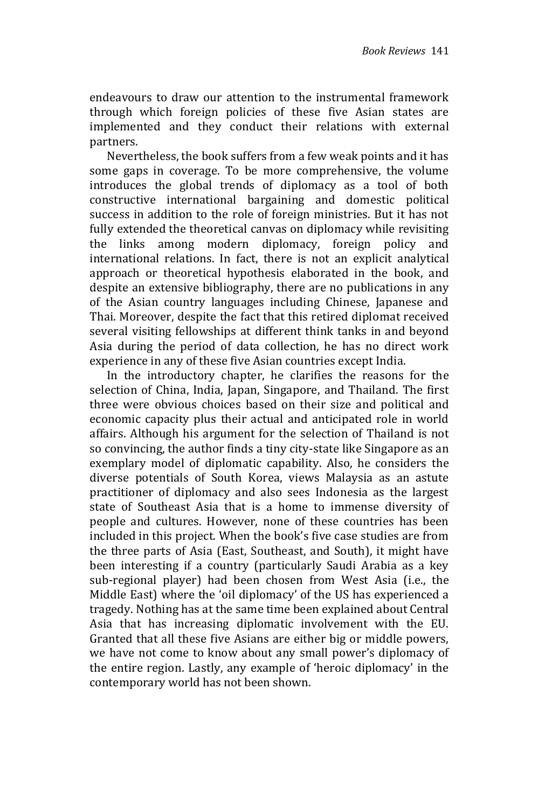endeavours to draw our attention to the instrumental framework through which foreign policies of these five Asian states are implemented and they conduct their relations with external partners.

Nevertheless, the book suffers from a few weak points and it has some gaps in coverage. To be more comprehensive, the volume introduces the global trends of diplomacy as a tool of both constructive international bargaining and domestic political success in addition to the role of foreign ministries. But it has not fully extended the theoretical canvas on diplomacy while revisiting the links among modern diplomacy, foreign policy and international relations. In fact, there is not an explicit analytical approach or theoretical hypothesis elaborated in the book, and despite an extensive bibliography, there are no publications in any of the Asian country languages including Chinese, Japanese and Thai. Moreover, despite the fact that this retired diplomat received several visiting fellowships at different think tanks in and beyond Asia during the period of data collection, he has no direct work experience in any of these five Asian countries except India.

In the introductory chapter, he clarifies the reasons for the selection of China, India, Japan, Singapore, and Thailand. The first three were obvious choices based on their size and political and economic capacity plus their actual and anticipated role in world affairs. Although his argument for the selection of Thailand is not so convincing, the author finds a tiny city-state like Singapore as an exemplary model of diplomatic capability. Also, he considers the diverse potentials of South Korea, views Malaysia as an astute practitioner of diplomacy and also sees Indonesia as the largest state of Southeast Asia that is a home to immense diversity of people and cultures. However, none of these countries has been included in this project. When the book's five case studies are from the three parts of Asia (East, Southeast, and South), it might have been interesting if a country (particularly Saudi Arabia as a key sub-regional player) had been chosen from West Asia (i.e., the Middle East) where the 'oil diplomacy' of the US has experienced a tragedy. Nothing has at the same time been explained about Central Asia that has increasing diplomatic involvement with the EU. Granted that all these five Asians are either big or middle powers, we have not come to know about any small power's diplomacy of the entire region. Lastly, any example of 'heroic diplomacy' in the contemporary world has not been shown.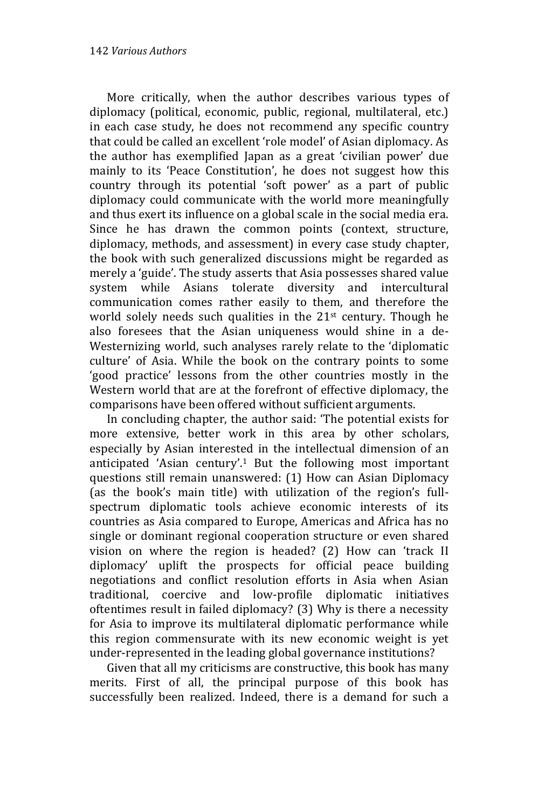More critically, when the author describes various types of diplomacy (political, economic, public, regional, multilateral, etc.) in each case study, he does not recommend any specific country that could be called an excellent 'role model' of Asian diplomacy. As the author has exemplified Japan as a great 'civilian power' due mainly to its 'Peace Constitution', he does not suggest how this country through its potential 'soft power' as a part of public diplomacy could communicate with the world more meaningfully and thus exert its influence on a global scale in the social media era. Since he has drawn the common points (context, structure, diplomacy, methods, and assessment) in every case study chapter, the book with such generalized discussions might be regarded as merely a 'guide'. The study asserts that Asia possesses shared value system while Asians tolerate diversity and intercultural communication comes rather easily to them, and therefore the world solely needs such qualities in the  $21<sup>st</sup>$  century. Though he also foresees that the Asian uniqueness would shine in a de-Westernizing world, such analyses rarely relate to the 'diplomatic culture' of Asia. While the book on the contrary points to some 'good practice' lessons from the other countries mostly in the Western world that are at the forefront of effective diplomacy, the comparisons have been offered without sufficient arguments.

In concluding chapter, the author said: 'The potential exists for more extensive, better work in this area by other scholars, especially by Asian interested in the intellectual dimension of an anticipated 'Asian century'.<sup>1</sup> But the following most important questions still remain unanswered: (1) How can Asian Diplomacy (as the book's main title) with utilization of the region's fullspectrum diplomatic tools achieve economic interests of its countries as Asia compared to Europe, Americas and Africa has no single or dominant regional cooperation structure or even shared vision on where the region is headed? (2) How can 'track II diplomacy' uplift the prospects for official peace building negotiations and conflict resolution efforts in Asia when Asian traditional, coercive and low-profile diplomatic initiatives oftentimes result in failed diplomacy? (3) Why is there a necessity for Asia to improve its multilateral diplomatic performance while this region commensurate with its new economic weight is yet under-represented in the leading global governance institutions?

Given that all my criticisms are constructive, this book has many merits. First of all, the principal purpose of this book has successfully been realized. Indeed, there is a demand for such a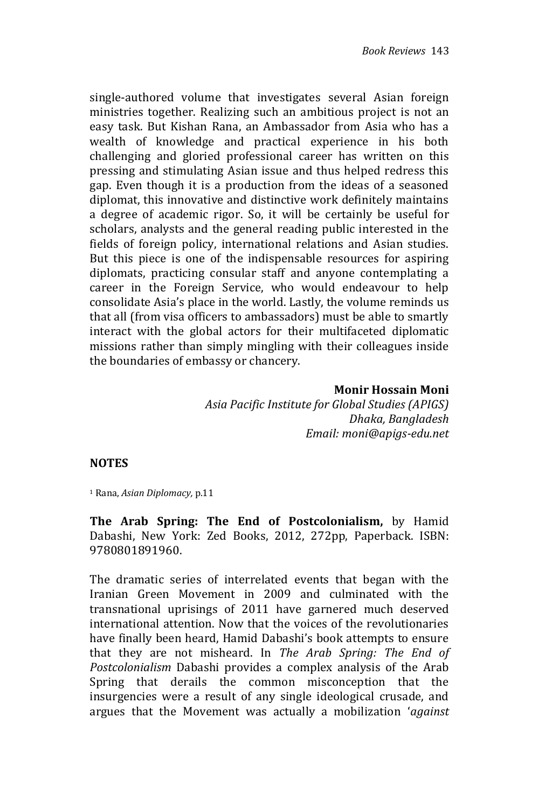single-authored volume that investigates several Asian foreign ministries together. Realizing such an ambitious project is not an easy task. But Kishan Rana, an Ambassador from Asia who has a wealth of knowledge and practical experience in his both challenging and gloried professional career has written on this pressing and stimulating Asian issue and thus helped redress this gap. Even though it is a production from the ideas of a seasoned diplomat, this innovative and distinctive work definitely maintains a degree of academic rigor. So, it will be certainly be useful for scholars, analysts and the general reading public interested in the fields of foreign policy, international relations and Asian studies. But this piece is one of the indispensable resources for aspiring diplomats, practicing consular staff and anyone contemplating a career in the Foreign Service, who would endeavour to help consolidate Asia's place in the world. Lastly, the volume reminds us that all (from visa officers to ambassadors) must be able to smartly interact with the global actors for their multifaceted diplomatic missions rather than simply mingling with their colleagues inside the boundaries of embassy or chancery.

#### **Monir Hossain Moni**

*Asia Pacific Institute for Global Studies (APIGS) Dhaka, Bangladesh Email: moni@apigs-edu.net*

## **NOTES**

<sup>1</sup> Rana, *Asian Diplomacy,* p.11

**The Arab Spring: The End of Postcolonialism,** by Hamid Dabashi, New York: Zed Books, 2012, 272pp, Paperback. ISBN: 9780801891960.

The dramatic series of interrelated events that began with the Iranian Green Movement in 2009 and culminated with the transnational uprisings of 2011 have garnered much deserved international attention. Now that the voices of the revolutionaries have finally been heard, Hamid Dabashi's book attempts to ensure that they are not misheard. In *The Arab Spring: The End of Postcolonialism* Dabashi provides a complex analysis of the Arab Spring that derails the common misconception that the insurgencies were a result of any single ideological crusade, and argues that the Movement was actually a mobilization '*against*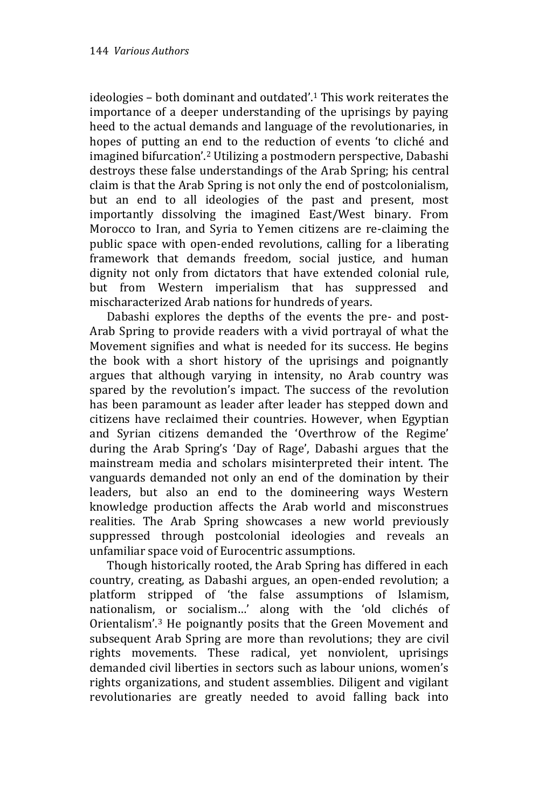ideologies – both dominant and outdated'.<sup>1</sup> This work reiterates the importance of a deeper understanding of the uprisings by paying heed to the actual demands and language of the revolutionaries, in hopes of putting an end to the reduction of events 'to cliché and imagined bifurcation'.<sup>2</sup> Utilizing a postmodern perspective, Dabashi destroys these false understandings of the Arab Spring; his central claim is that the Arab Spring is not only the end of postcolonialism, but an end to all ideologies of the past and present, most importantly dissolving the imagined East/West binary. From Morocco to Iran, and Syria to Yemen citizens are re-claiming the public space with open-ended revolutions, calling for a liberating framework that demands freedom, social justice, and human dignity not only from dictators that have extended colonial rule, but from Western imperialism that has suppressed and mischaracterized Arab nations for hundreds of years.

Dabashi explores the depths of the events the pre- and post-Arab Spring to provide readers with a vivid portrayal of what the Movement signifies and what is needed for its success. He begins the book with a short history of the uprisings and poignantly argues that although varying in intensity, no Arab country was spared by the revolution's impact. The success of the revolution has been paramount as leader after leader has stepped down and citizens have reclaimed their countries. However, when Egyptian and Syrian citizens demanded the 'Overthrow of the Regime' during the Arab Spring's 'Day of Rage', Dabashi argues that the mainstream media and scholars misinterpreted their intent. The vanguards demanded not only an end of the domination by their leaders, but also an end to the domineering ways Western knowledge production affects the Arab world and misconstrues realities. The Arab Spring showcases a new world previously suppressed through postcolonial ideologies and reveals an unfamiliar space void of Eurocentric assumptions.

Though historically rooted, the Arab Spring has differed in each country, creating, as Dabashi argues, an open-ended revolution; a platform stripped of 'the false assumptions of Islamism, nationalism, or socialism…' along with the 'old clichés of Orientalism'.<sup>3</sup> He poignantly posits that the Green Movement and subsequent Arab Spring are more than revolutions; they are civil rights movements. These radical, yet nonviolent, uprisings demanded civil liberties in sectors such as labour unions, women's rights organizations, and student assemblies. Diligent and vigilant revolutionaries are greatly needed to avoid falling back into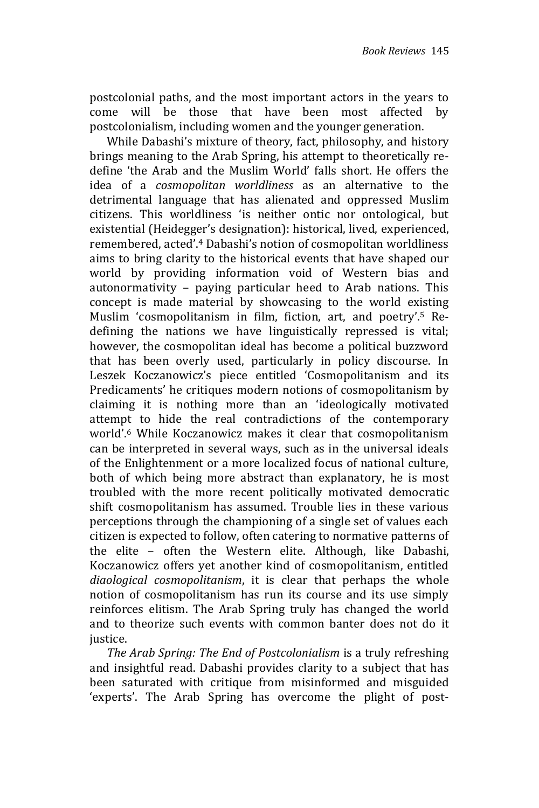postcolonial paths, and the most important actors in the years to come will be those that have been most affected by postcolonialism, including women and the younger generation.

While Dabashi's mixture of theory, fact, philosophy, and history brings meaning to the Arab Spring, his attempt to theoretically redefine 'the Arab and the Muslim World' falls short. He offers the idea of a *cosmopolitan worldliness* as an alternative to the detrimental language that has alienated and oppressed Muslim citizens. This worldliness 'is neither ontic nor ontological, but existential (Heidegger's designation): historical, lived, experienced, remembered, acted'.<sup>4</sup> Dabashi's notion of cosmopolitan worldliness aims to bring clarity to the historical events that have shaped our world by providing information void of Western bias and autonormativity – paying particular heed to Arab nations. This concept is made material by showcasing to the world existing Muslim 'cosmopolitanism in film, fiction, art, and poetry'.<sup>5</sup> Redefining the nations we have linguistically repressed is vital; however, the cosmopolitan ideal has become a political buzzword that has been overly used, particularly in policy discourse. In Leszek Koczanowicz's piece entitled 'Cosmopolitanism and its Predicaments' he critiques modern notions of cosmopolitanism by claiming it is nothing more than an 'ideologically motivated attempt to hide the real contradictions of the contemporary world'. <sup>6</sup> While Koczanowicz makes it clear that cosmopolitanism can be interpreted in several ways, such as in the universal ideals of the Enlightenment or a more localized focus of national culture, both of which being more abstract than explanatory, he is most troubled with the more recent politically motivated democratic shift cosmopolitanism has assumed. Trouble lies in these various perceptions through the championing of a single set of values each citizen is expected to follow, often catering to normative patterns of the elite – often the Western elite. Although, like Dabashi, Koczanowicz offers yet another kind of cosmopolitanism, entitled *diaological cosmopolitanism*, it is clear that perhaps the whole notion of cosmopolitanism has run its course and its use simply reinforces elitism. The Arab Spring truly has changed the world and to theorize such events with common banter does not do it justice.

*The Arab Spring: The End of Postcolonialism* is a truly refreshing and insightful read. Dabashi provides clarity to a subject that has been saturated with critique from misinformed and misguided 'experts'. The Arab Spring has overcome the plight of post